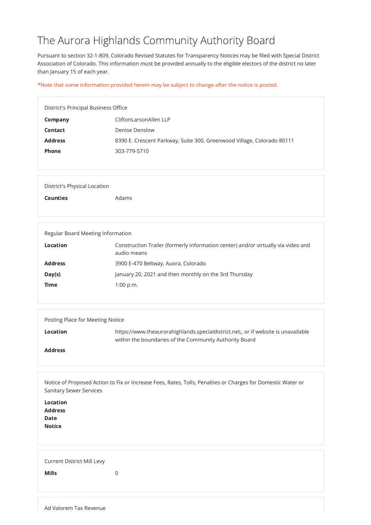## The Aurora Highlands Community Authority Board

Pursuant to section 32-1-809, Colorado Revised Statutes for Transparency Notices may be filed with Special District Association of Colorado. This information must be provided annually to the eligible electors of the district no later than January 15 of each year.

\*Note that some information provided herein may be subject to change after the notice is posted.

| District's Principal Business Office |                                                                        |
|--------------------------------------|------------------------------------------------------------------------|
| Company                              | CliftonLarsonAllen LLP                                                 |
| <b>Contact</b>                       | Denise Denslow                                                         |
| <b>Address</b>                       | 8390 E. Crescent Parkway, Suite 300, Greenwood Village, Colorado 80111 |
| <b>Phone</b>                         | 303-779-5710                                                           |
|                                      |                                                                        |

| <b>Location</b><br><b>Address</b><br><b>Date</b><br><b>Notice</b> |             |
|-------------------------------------------------------------------|-------------|
| <b>Current District Mill Levy</b><br><b>Mills</b>                 | $\mathbf 0$ |

| <b>District's Physical Location</b> |       |  |  |
|-------------------------------------|-------|--|--|
| <b>Counties</b>                     | Adams |  |  |
|                                     |       |  |  |

| Regular Board Meeting Information |                                                                                                  |
|-----------------------------------|--------------------------------------------------------------------------------------------------|
| <b>Location</b>                   | Construction Trailer (formerly information center) and/or virtually via video and<br>audio means |
| <b>Address</b>                    | 3900 E-470 Beltway, Auora, Colorado                                                              |
| Day(s)                            | January 20, 2021 and then monthly on the 3rd Thursday                                            |
| <b>Time</b>                       | $1:00$ p.m.                                                                                      |
|                                   |                                                                                                  |

| Posting Place for Meeting Notice |                                                                                                                                             |
|----------------------------------|---------------------------------------------------------------------------------------------------------------------------------------------|
| <b>Location</b>                  | https://www.theaurorahighlands.specialdistrict.net;, or if website is unavailable<br>within the boundaries of the Community Authority Board |
| <b>Address</b>                   |                                                                                                                                             |

Notice of Proposed Action to Fix or Increase Fees, Rates, Tolls, Penalties or Charges for Domestic Water or Sanitary Sewer Services

Ad Valorem Tax Revenue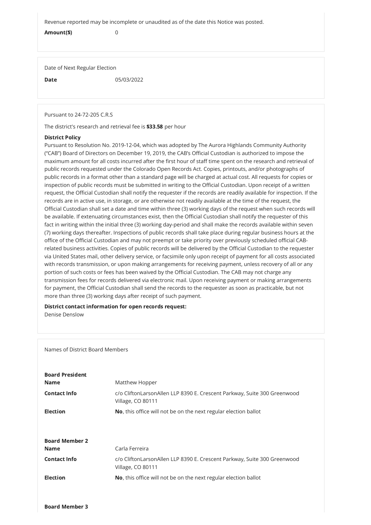Revenue reported may be incomplete or unaudited as of the date this Notice was posted.

Amount(\$) 0

Date of Next Regular Election

**Date** 05/03/2022

Pursuant to 24-72-205 C.R.S

The district's research and retrieval fee is \$33.58 per hour

## District Policy

Pursuant to Resolution No. 2019-12-04, which was adopted by The Aurora Highlands Community Authority ("CAB") Board of Directors on December 19, 2019, the CAB's Official Custodian is authorized to impose the maximum amount for all costs incurred after the first hour of staff time spent on the research and retrieval of public records requested under the Colorado Open Records Act. Copies, printouts, and/or photographs of public records in a format other than a standard page will be charged at actual cost. All requests for copies or inspection of public records must be submitted in writing to the Official Custodian. Upon receipt of a written request, the Official Custodian shall notify the requester if the records are readily available for inspection. If the records are in active use, in storage, or are otherwise not readily available at the time of the request, the Official Custodian shall set a date and time within three (3) working days of the request when such records will be available. If extenuating circumstances exist, then the Official Custodian shall notify the requester of this fact in writing within the initial three (3) working day-period and shall make the records available within seven (7) working days thereafter. Inspections of public records shall take place during regular business hours at the office of the Official Custodian and may not preempt or take priority over previously scheduled official CABrelated business activities. Copies of public records will be delivered by the Official Custodian to the requester via United States mail, other delivery service, or facsimile only upon receipt of payment for all costs associated with records transmission, or upon making arrangements for receiving payment, unless recovery of all or any portion of such costs or fees has been waived by the Official Custodian. The CAB may not charge any transmission fees for records delivered via electronic mail. Upon receiving payment or making arrangements for payment, the Official Custodian shall send the records to the requester as soon as practicable, but not more than three (3) working days after receipt of such payment.

## District contact information for open records request:

Denise Denslow

Names of District Board Members

| <b>Board President</b> |
|------------------------|
| Name                   |
| $C = -1 - 1 - 1 - 1$   |

Matthew Hopper

Contact Info **charge Contact Info** contact of CliftonLarsonAllen LLP 8390 E. Crescent Parkway, Suite 300 Greenwood

Board Member 3

|                       | Village, CO 80111                                                                             |
|-----------------------|-----------------------------------------------------------------------------------------------|
| <b>Election</b>       | No, this office will not be on the next regular election ballot                               |
|                       |                                                                                               |
| <b>Board Member 2</b> |                                                                                               |
| <b>Name</b>           | Carla Ferreira                                                                                |
| <b>Contact Info</b>   | c/o CliftonLarsonAllen LLP 8390 E. Crescent Parkway, Suite 300 Greenwood<br>Village, CO 80111 |
| <b>Election</b>       | No, this office will not be on the next regular election ballot                               |
|                       |                                                                                               |
|                       |                                                                                               |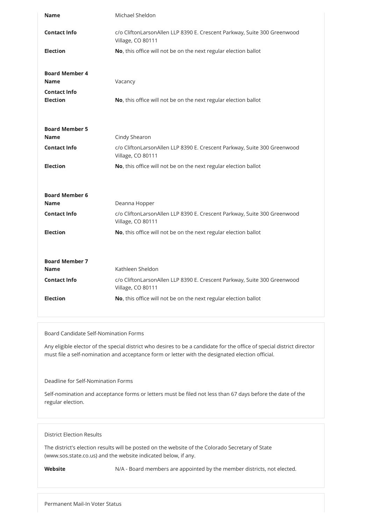| <b>Name</b>                                                 | Michael Sheldon                                                                                                   |
|-------------------------------------------------------------|-------------------------------------------------------------------------------------------------------------------|
| <b>Contact Info</b>                                         | c/o CliftonLarsonAllen LLP 8390 E. Crescent Parkway, Suite 300 Greenwood<br>Village, CO 80111                     |
| <b>Election</b>                                             | No, this office will not be on the next regular election ballot                                                   |
| <b>Board Member 4</b><br><b>Name</b><br><b>Contact Info</b> | Vacancy                                                                                                           |
| <b>Election</b>                                             | No, this office will not be on the next regular election ballot                                                   |
| <b>Board Member 5</b><br><b>Name</b>                        | Cindy Shearon                                                                                                     |
| <b>Contact Info</b>                                         | c/o CliftonLarsonAllen LLP 8390 E. Crescent Parkway, Suite 300 Greenwood<br>Village, CO 80111                     |
| <b>Election</b>                                             | No, this office will not be on the next regular election ballot                                                   |
| <b>Board Member 6</b>                                       |                                                                                                                   |
| <b>Name</b>                                                 | Deanna Hopper                                                                                                     |
| <b>Contact Info</b>                                         | c/o CliftonLarsonAllen LLP 8390 E. Crescent Parkway, Suite 300 Greenwood<br>Village, CO 80111                     |
| <b>Election</b>                                             | No, this office will not be on the next regular election ballot                                                   |
|                                                             |                                                                                                                   |
|                                                             |                                                                                                                   |
| <b>Board Member 7</b>                                       |                                                                                                                   |
| <b>Name</b><br><b>Contact Info</b>                          | Kathleen Sheldon<br>c/o CliftonLarsonAllen LLP 8390 E. Crescent Parkway, Suite 300 Greenwood<br>Village, CO 80111 |

Board Candidate Self-Nomination Forms

Any eligible elector of the special district who desires to be a candidate for the office of special district director must file a self-nomination and acceptance form or letter with the designated election official.

Deadline for Self-Nomination Forms

Self-nomination and acceptance forms or letters must be filed not less than 67 days before the date of the

regular election.

District Election Results

The district's election results will be posted on the website of the Colorado Secretary of State (www.sos.state.co.us) and the website indicated below, if any.

Website Match N/A - Board members are appointed by the member districts, not elected.

Permanent Mail-In Voter Status